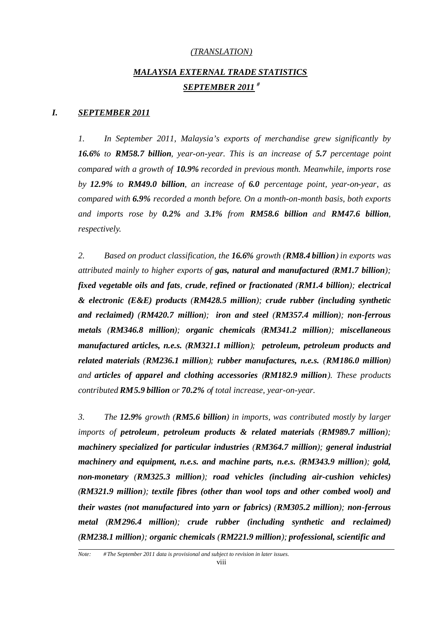## *(TRANSLATION)*

# *MALAYSIA EXTERNAL TRADE STATISTICS SEPTEMBER 2011 #*

#### *I. SEPTEMBER 2011*

*1. In September 2011, Malaysia's exports of merchandise grew significantly by 16.6% to RM58.7 billion, year-on-year. This is an increase of 5.7 percentage point compared with a growth of 10.9% recorded in previous month. Meanwhile, imports rose by 12.9% to RM49.0 billion, an increase of 6.0 percentage point, year-on-year, as compared with 6.9% recorded a month before. On a month-on-month basis, both exports and imports rose by 0.2% and 3.1% from RM58.6 billion and RM47.6 billion, respectively.*

*2. Based on product classification, the 16.6% growth (RM8.4 billion) in exports was attributed mainly to higher exports of gas, natural and manufactured (RM1.7 billion); fixed vegetable oils and fats, crude, refined or fractionated (RM1.4 billion); electrical & electronic (E&E) products (RM428.5 million); crude rubber (including synthetic and reclaimed) (RM420.7 million); iron and steel (RM357.4 million); non-ferrous metals (RM346.8 million); organic chemicals (RM341.2 million); miscellaneous manufactured articles, n.e.s. (RM321.1 million); petroleum, petroleum products and related materials (RM236.1 million); rubber manufactures, n.e.s. (RM186.0 million) and articles of apparel and clothing accessories (RM182.9 million). These products contributed RM5.9 billion or 70.2% of total increase, year-on-year.*

*3. The 12.9% growth (RM5.6 billion) in imports, was contributed mostly by larger imports of petroleum, petroleum products & related materials (RM989.7 million); machinery specialized for particular industries (RM364.7 million); general industrial machinery and equipment, n.e.s. and machine parts, n.e.s. (RM343.9 million); gold, non-monetary (RM325.3 million); road vehicles (including air-cushion vehicles) (RM321.9 million); textile fibres (other than wool tops and other combed wool) and their wastes (not manufactured into yarn or fabrics) (RM305.2 million); non-ferrous metal (RM296.4 million); crude rubber (including synthetic and reclaimed) (RM238.1 million); organic chemicals (RM221.9 million); professional, scientific and*

*Note: # The September 2011 data is provisional and subject to revision in later issues.*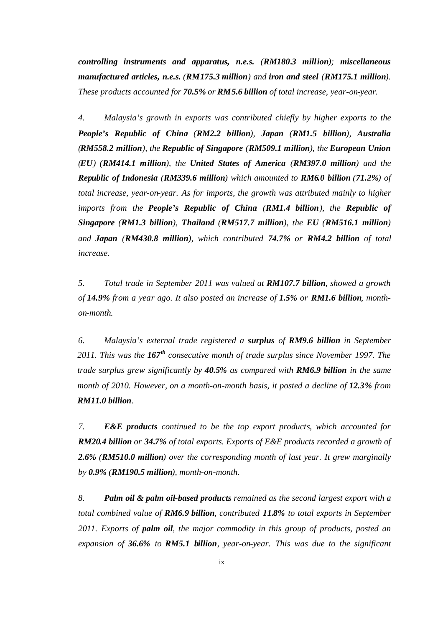*controlling instruments and apparatus, n.e.s. (RM180.3 million); miscellaneous manufactured articles, n.e.s. (RM175.3 million) and iron and steel (RM175.1 million). These products accounted for 70.5% or RM5.6 billion of total increase, year-on-year.*

*4. Malaysia's growth in exports was contributed chiefly by higher exports to the People's Republic of China (RM2.2 billion), Japan (RM1.5 billion), Australia (RM558.2 million), the Republic of Singapore (RM509.1 million), the European Union (EU) (RM414.1 million), the United States of America (RM397.0 million) and the Republic of Indonesia (RM339.6 million) which amounted to RM6.0 billion (71.2%) of total increase, year-on-year. As for imports, the growth was attributed mainly to higher imports from the People's Republic of China (RM1.4 billion), the Republic of Singapore (RM1.3 billion), Thailand (RM517.7 million), the EU (RM516.1 million) and Japan (RM430.8 million), which contributed 74.7% or RM4.2 billion of total increase.*

*5. Total trade in September 2011 was valued at RM107.7 billion, showed a growth of 14.9% from a year ago. It also posted an increase of 1.5% or RM1.6 billion, monthon-month.*

*6. Malaysia's external trade registered a surplus of RM9.6 billion in September 2011. This was the 167th consecutive month of trade surplus since November 1997. The trade surplus grew significantly by 40.5% as compared with RM6.9 billion in the same month of 2010. However, on a month-on-month basis, it posted a decline of 12.3% from RM11.0 billion.*

*7. E&E products continued to be the top export products, which accounted for RM20.4 billion or 34.7% of total exports. Exports of E&E products recorded a growth of 2.6% (RM510.0 million) over the corresponding month of last year. It grew marginally by 0.9% (RM190.5 million), month-on-month.*

*8. Palm oil & palm oil-based products remained as the second largest export with a total combined value of RM6.9 billion, contributed 11.8% to total exports in September 2011. Exports of palm oil, the major commodity in this group of products, posted an expansion of 36.6% to RM5.1 billion, year-on-year. This was due to the significant*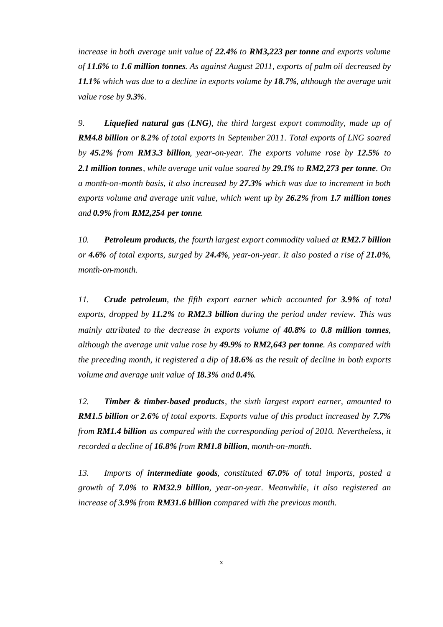*increase in both average unit value of 22.4% to RM3,223 per tonne and exports volume of 11.6% to 1.6 million tonnes. As against August 2011, exports of palm oil decreased by 11.1% which was due to a decline in exports volume by 18.7%, although the average unit value rose by 9.3%.*

*9. Liquefied natural gas (LNG), the third largest export commodity, made up of RM4.8 billion or 8.2% of total exports in September 2011. Total exports of LNG soared by 45.2% from RM3.3 billion, year-on-year. The exports volume rose by 12.5% to 2.1 million tonnes, while average unit value soared by 29.1% to RM2,273 per tonne. On a month-on-month basis, it also increased by 27.3% which was due to increment in both exports volume and average unit value, which went up by 26.2% from 1.7 million tones and 0.9% from RM2,254 per tonne.*

*10. Petroleum products, the fourth largest export commodity valued at RM2.7 billion or 4.6% of total exports, surged by 24.4%, year-on-year. It also posted a rise of 21.0%, month-on-month.*

*11. Crude petroleum, the fifth export earner which accounted for 3.9% of total exports, dropped by 11.2% to RM2.3 billion during the period under review. This was mainly attributed to the decrease in exports volume of 40.8% to 0.8 million tonnes, although the average unit value rose by 49.9% to RM2,643 per tonne. As compared with the preceding month, it registered a dip of 18.6% as the result of decline in both exports volume and average unit value of 18.3% and 0.4%.*

*12. Timber & timber-based products, the sixth largest export earner, amounted to RM1.5 billion or 2.6% of total exports. Exports value of this product increased by 7.7% from RM1.4 billion as compared with the corresponding period of 2010. Nevertheless, it recorded a decline of 16.8% from RM1.8 billion, month-on-month.*

*13. Imports of intermediate goods, constituted 67.0% of total imports, posted a growth of 7.0% to RM32.9 billion, year-on-year. Meanwhile, it also registered an increase of 3.9% from RM31.6 billion compared with the previous month.*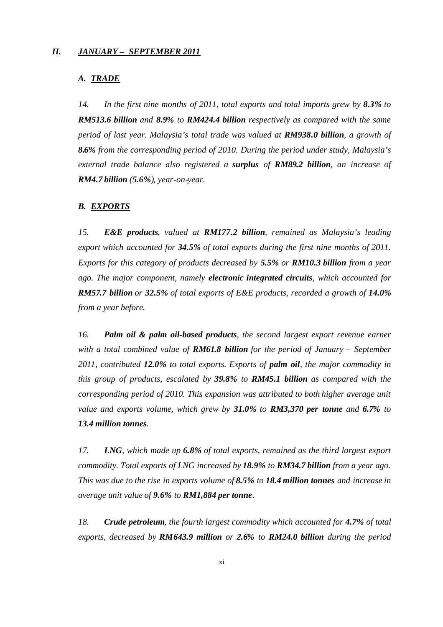## *II. JANUARY – SEPTEMBER 2011*

## *A. TRADE*

*14. In the first nine months of 2011, total exports and total imports grew by 8.3% to RM513.6 billion and 8.9% to RM424.4 billion respectively as compared with the same period of last year. Malaysia's total trade was valued at RM938.0 billion, a growth of 8.6% from the corresponding period of 2010. During the period under study, Malaysia's external trade balance also registered a surplus of RM89.2 billion, an increase of RM4.7 billion (5.6%), year-on-year.*

## *B. EXPORTS*

*15. E&E products, valued at RM177.2 billion, remained as Malaysia's leading export which accounted for 34.5% of total exports during the first nine months of 2011. Exports for this category of products decreased by 5.5% or RM10.3 billion from a year ago. The major component, namely electronic integrated circuits, which accounted for RM57.7 billion or 32.5% of total exports of E&E products, recorded a growth of 14.0% from a year before.*

*16. Palm oil & palm oil-based products, the second largest export revenue earner with a total combined value of RM61.8 billion for the period of January – September 2011, contributed 12.0% to total exports. Exports of palm oil, the major commodity in this group of products, escalated by 39.8% to RM45.1 billion as compared with the corresponding period of 2010. This expansion was attributed to both higher average unit value and exports volume, which grew by 31.0% to RM3,370 per tonne and 6.7% to 13.4 million tonnes.*

*17. LNG, which made up 6.8% of total exports, remained as the third largest export commodity. Total exports of LNG increased by 18.9% to RM34.7 billion from a year ago. This was due to the rise in exports volume of 8.5% to 18.4 million tonnes and increase in average unit value of 9.6% to RM1,884 per tonne.*

*18. Crude petroleum, the fourth largest commodity which accounted for 4.7% of total exports, decreased by RM643.9 million or 2.6% to RM24.0 billion during the period*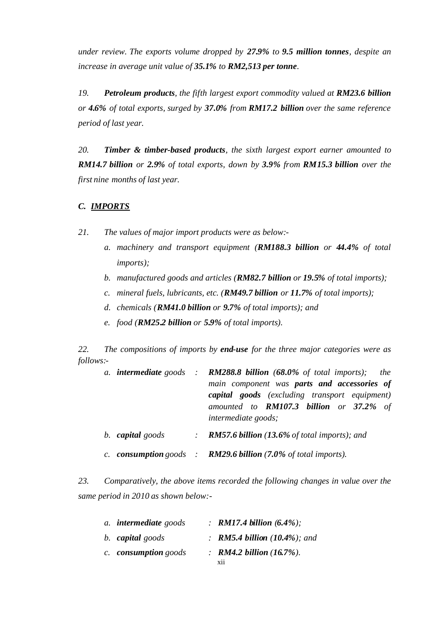*under review. The exports volume dropped by 27.9% to 9.5 million tonnes, despite an increase in average unit value of 35.1% to RM2,513 per tonne.*

*19. Petroleum products, the fifth largest export commodity valued at RM23.6 billion or 4.6% of total exports, surged by 37.0% from RM17.2 billion over the same reference period of last year.*

*20. Timber & timber-based products, the sixth largest export earner amounted to RM14.7 billion or 2.9% of total exports, down by 3.9% from RM15.3 billion over the first nine months of last year.*

## *C. IMPORTS*

- *21. The values of major import products were as below:*
	- *a. machinery and transport equipment (RM188.3 billion or 44.4% of total imports);*
	- *b. manufactured goods and articles (RM82.7 billion or 19.5% of total imports);*
	- *c. mineral fuels, lubricants, etc. (RM49.7 billion or 11.7% of total imports);*
	- *d. chemicals (RM41.0 billion or 9.7% of total imports); and*
	- *e. food (RM25.2 billion or 5.9% of total imports).*

*22. The compositions of imports by end-use for the three major categories were as follows:-*

|                  | a. intermediate goods : $RM288.8$ billion (68.0% of total imports);<br>the<br>main component was parts and accessories of<br><b>capital goods</b> (excluding transport equipment)<br>amounted to <b>RM107.3 billion</b> or 37.2% of<br><i>intermediate goods;</i> |  |
|------------------|-------------------------------------------------------------------------------------------------------------------------------------------------------------------------------------------------------------------------------------------------------------------|--|
| b. capital goods | : <b>RM57.6 billion</b> (13.6% of total imports); and                                                                                                                                                                                                             |  |
|                  | c. consumption goods : $RM29.6$ billion (7.0% of total imports).                                                                                                                                                                                                  |  |

*23. Comparatively, the above items recorded the following changes in value over the same period in 2010 as shown below:-*

| a. <b>intermediate</b> goods | : RM17.4 billion $(6.4\%)$ ;               |  |
|------------------------------|--------------------------------------------|--|
| b. capital goods             | : <b>RM5.4 billion</b> $(10.4\%)$ ; and    |  |
| c. consumption goods         | : RM4.2 billion $(16.7\%)$ .<br><b>X11</b> |  |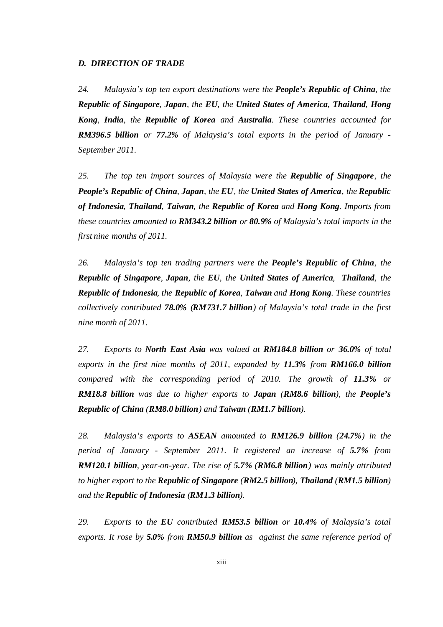## *D. DIRECTION OF TRADE*

*24. Malaysia's top ten export destinations were the People's Republic of China, the Republic of Singapore, Japan, the EU, the United States of America, Thailand, Hong Kong, India, the Republic of Korea and Australia. These countries accounted for RM396.5 billion or 77.2% of Malaysia's total exports in the period of January - September 2011.*

*25. The top ten import sources of Malaysia were the Republic of Singapore, the People's Republic of China, Japan, the EU, the United States of America, the Republic of Indonesia, Thailand, Taiwan, the Republic of Korea and Hong Kong. Imports from these countries amounted to RM343.2 billion or 80.9% of Malaysia's total imports in the first nine months of 2011.*

*26. Malaysia's top ten trading partners were the People's Republic of China, the Republic of Singapore, Japan, the EU, the United States of America, Thailand, the Republic of Indonesia, the Republic of Korea, Taiwan and Hong Kong. These countries collectively contributed 78.0% (RM731.7 billion) of Malaysia's total trade in the first nine month of 2011.*

*27. Exports to North East Asia was valued at RM184.8 billion or 36.0% of total exports in the first nine months of 2011, expanded by 11.3% from RM166.0 billion compared with the corresponding period of 2010. The growth of 11.3% or RM18.8 billion was due to higher exports to Japan (RM8.6 billion), the People's Republic of China (RM8.0 billion) and Taiwan (RM1.7 billion).*

*28. Malaysia's exports to ASEAN amounted to RM126.9 billion (24.7%) in the period of January - September 2011. It registered an increase of 5.7% from RM120.1 billion, year-on-year. The rise of 5.7% (RM6.8 billion) was mainly attributed to higher export to the Republic of Singapore (RM2.5 billion), Thailand (RM1.5 billion) and the Republic of Indonesia (RM1.3 billion).*

*29. Exports to the EU contributed RM53.5 billion or 10.4% of Malaysia's total exports. It rose by 5.0% from RM50.9 billion as against the same reference period of*